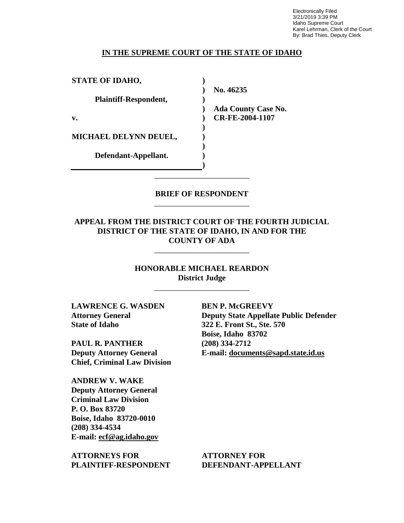Electronically Filed 3/21/2019 3:39 PM Idaho Supreme Court Karel Lehrman, Clerk of the Court By: Brad Thies, Deputy Clerk

#### **IN THE SUPREME COURT OF THE STATE OF IDAHO**

| <b>STATE OF IDAHO,</b>       |                            |
|------------------------------|----------------------------|
|                              | No. 46235                  |
| <b>Plaintiff-Respondent,</b> |                            |
|                              | <b>Ada County Case No.</b> |
| v.                           | CR-FE-2004-1107            |
|                              |                            |
| <b>MICHAEL DELYNN DEUEL,</b> |                            |
|                              |                            |
| Defendant-Appellant.         |                            |
|                              |                            |

## **BRIEF OF RESPONDENT** \_\_\_\_\_\_\_\_\_\_\_\_\_\_\_\_\_\_\_\_\_\_\_\_

\_\_\_\_\_\_\_\_\_\_\_\_\_\_\_\_\_\_\_\_\_\_\_\_

## **APPEAL FROM THE DISTRICT COURT OF THE FOURTH JUDICIAL DISTRICT OF THE STATE OF IDAHO, IN AND FOR THE COUNTY OF ADA**

\_\_\_\_\_\_\_\_\_\_\_\_\_\_\_\_\_\_\_\_\_\_\_\_

**HONORABLE MICHAEL REARDON District Judge**

\_\_\_\_\_\_\_\_\_\_\_\_\_\_\_\_\_\_\_\_\_\_\_\_

**LAWRENCE G. WASDEN Attorney General State of Idaho**

**PAUL R. PANTHER Deputy Attorney General Chief, Criminal Law Division**

**ANDREW V. WAKE Deputy Attorney General Criminal Law Division P. O. Box 83720 Boise, Idaho 83720-0010 (208) 334-4534 E-mail: ecf@ag.idaho.gov** 

**ATTORNEYS FOR PLAINTIFF-RESPONDENT** **BEN P. McGREEVY Deputy State Appellate Public Defender 322 E. Front St., Ste. 570 Boise, Idaho 83702 (208) 334-2712 E-mail: documents@sapd.state.id.us** 

**ATTORNEY FOR DEFENDANT-APPELLANT**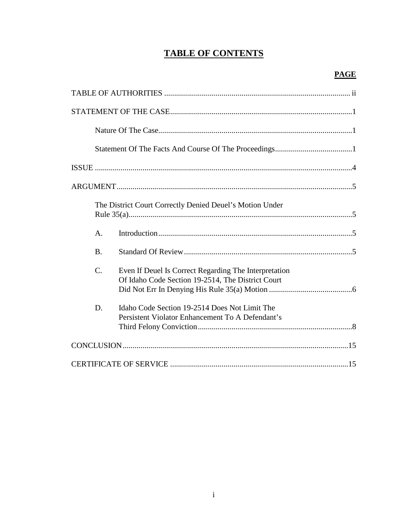# **TABLE OF CONTENTS**

| The District Court Correctly Denied Deuel's Motion Under                                                                      |  |
|-------------------------------------------------------------------------------------------------------------------------------|--|
| A.                                                                                                                            |  |
| <b>B.</b>                                                                                                                     |  |
| $\mathcal{C}$ .<br>Even If Deuel Is Correct Regarding The Interpretation<br>Of Idaho Code Section 19-2514, The District Court |  |
| Idaho Code Section 19-2514 Does Not Limit The<br>D.<br>Persistent Violator Enhancement To A Defendant's                       |  |
|                                                                                                                               |  |
|                                                                                                                               |  |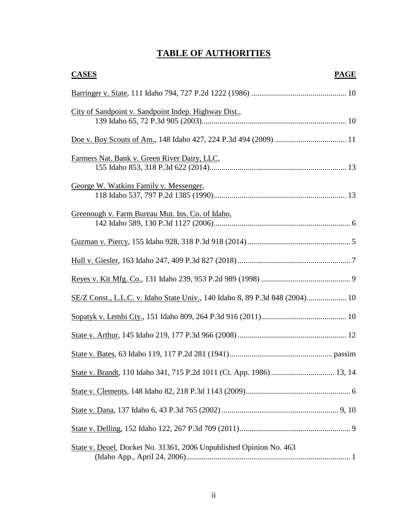# **TABLE OF AUTHORITIES**

| <b>CASES</b><br><b>PAGE</b>                                                  |
|------------------------------------------------------------------------------|
|                                                                              |
| City of Sandpoint v. Sandpoint Indep. Highway Dist.,                         |
|                                                                              |
| Farmers Nat. Bank v. Green River Dairy, LLC,                                 |
| George W. Watkins Family v. Messenger,                                       |
| Greenough v. Farm Bureau Mut. Ins. Co. of Idaho,                             |
|                                                                              |
|                                                                              |
|                                                                              |
| SE/Z Const., L.L.C. v. Idaho State Univ., 140 Idaho 8, 89 P.3d 848 (2004) 10 |
|                                                                              |
|                                                                              |
|                                                                              |
| State v. Brandt, 110 Idaho 341, 715 P.2d 1011 (Ct. App. 1986)  13, 14        |
|                                                                              |
|                                                                              |
|                                                                              |
| State v. Deuel, Docket No. 31361, 2006 Unpublished Opinion No. 463           |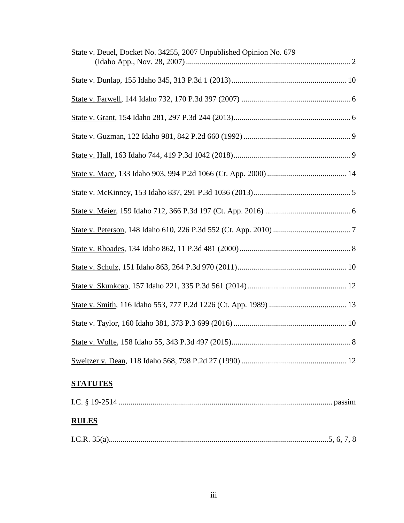| State v. Deuel, Docket No. 34255, 2007 Unpublished Opinion No. 679 |
|--------------------------------------------------------------------|
|                                                                    |
|                                                                    |
|                                                                    |
|                                                                    |
|                                                                    |
|                                                                    |
|                                                                    |
|                                                                    |
|                                                                    |
|                                                                    |
|                                                                    |
|                                                                    |
|                                                                    |
|                                                                    |
|                                                                    |
|                                                                    |

# **STATUTES**

| <b>RULES</b> |  |
|--------------|--|
|              |  |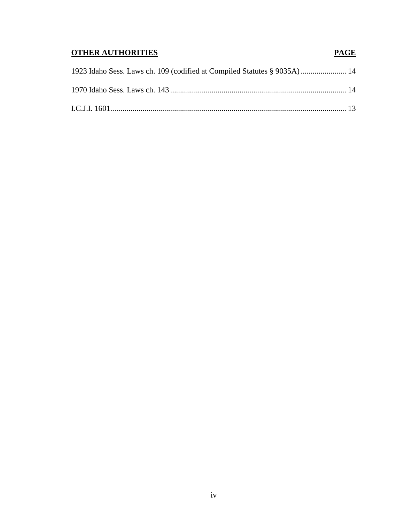# **OTHER AUTHORITIES PAGE**

| 1923 Idaho Sess. Laws ch. 109 (codified at Compiled Statutes § 9035A)  14 |  |
|---------------------------------------------------------------------------|--|
|                                                                           |  |
|                                                                           |  |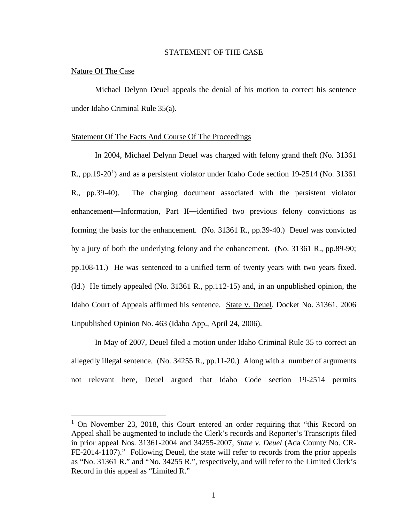#### STATEMENT OF THE CASE

#### Nature Of The Case

 $\overline{a}$ 

Michael Delynn Deuel appeals the denial of his motion to correct his sentence under Idaho Criminal Rule 35(a).

#### Statement Of The Facts And Course Of The Proceedings

In 2004, Michael Delynn Deuel was charged with felony grand theft (No. 31361 R., pp.[1](#page--1-0)9-20<sup>1</sup>) and as a persistent violator under Idaho Code section 19-2514 (No. 31361 R., pp.39-40). The charging document associated with the persistent violator enhancement―Information, Part II―identified two previous felony convictions as forming the basis for the enhancement. (No. 31361 R., pp.39-40.) Deuel was convicted by a jury of both the underlying felony and the enhancement. (No. 31361 R., pp.89-90; pp.108-11.) He was sentenced to a unified term of twenty years with two years fixed. (Id.) He timely appealed (No. 31361 R., pp.112-15) and, in an unpublished opinion, the Idaho Court of Appeals affirmed his sentence. State v. Deuel, Docket No. 31361, 2006 Unpublished Opinion No. 463 (Idaho App., April 24, 2006).

In May of 2007, Deuel filed a motion under Idaho Criminal Rule 35 to correct an allegedly illegal sentence. (No. 34255 R., pp.11-20.) Along with a number of arguments not relevant here, Deuel argued that Idaho Code section 19-2514 permits

<sup>&</sup>lt;sup>1</sup> On November 23, 2018, this Court entered an order requiring that "this Record on Appeal shall be augmented to include the Clerk's records and Reporter's Transcripts filed in prior appeal Nos. 31361-2004 and 34255-2007, *State v. Deuel* (Ada County No. CR-FE-2014-1107)." Following Deuel, the state will refer to records from the prior appeals as "No. 31361 R." and "No. 34255 R.", respectively, and will refer to the Limited Clerk's Record in this appeal as "Limited R."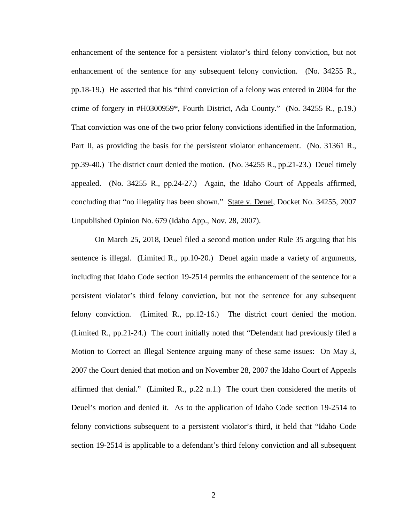enhancement of the sentence for a persistent violator's third felony conviction, but not enhancement of the sentence for any subsequent felony conviction. (No. 34255 R., pp.18-19.) He asserted that his "third conviction of a felony was entered in 2004 for the crime of forgery in #H0300959\*, Fourth District, Ada County." (No. 34255 R., p.19.) That conviction was one of the two prior felony convictions identified in the Information, Part II, as providing the basis for the persistent violator enhancement. (No. 31361 R., pp.39-40.) The district court denied the motion. (No. 34255 R., pp.21-23.) Deuel timely appealed. (No. 34255 R., pp.24-27.) Again, the Idaho Court of Appeals affirmed, concluding that "no illegality has been shown." State v. Deuel, Docket No. 34255, 2007 Unpublished Opinion No. 679 (Idaho App., Nov. 28, 2007).

On March 25, 2018, Deuel filed a second motion under Rule 35 arguing that his sentence is illegal. (Limited R., pp.10-20.) Deuel again made a variety of arguments, including that Idaho Code section 19-2514 permits the enhancement of the sentence for a persistent violator's third felony conviction, but not the sentence for any subsequent felony conviction. (Limited R., pp.12-16.) The district court denied the motion. (Limited R., pp.21-24.) The court initially noted that "Defendant had previously filed a Motion to Correct an Illegal Sentence arguing many of these same issues: On May 3, 2007 the Court denied that motion and on November 28, 2007 the Idaho Court of Appeals affirmed that denial." (Limited R., p.22 n.1.) The court then considered the merits of Deuel's motion and denied it. As to the application of Idaho Code section 19-2514 to felony convictions subsequent to a persistent violator's third, it held that "Idaho Code section 19-2514 is applicable to a defendant's third felony conviction and all subsequent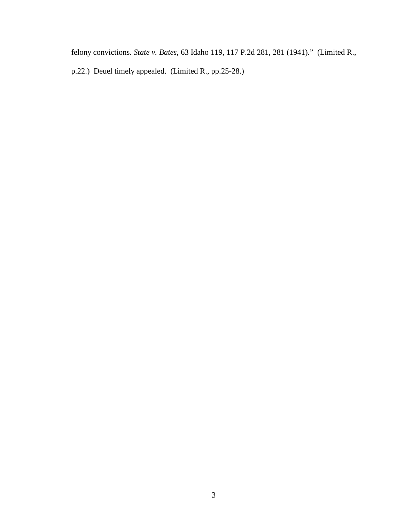felony convictions. *State v. Bates*, 63 Idaho 119, 117 P.2d 281, 281 (1941)." (Limited R., p.22.) Deuel timely appealed. (Limited R., pp.25-28.)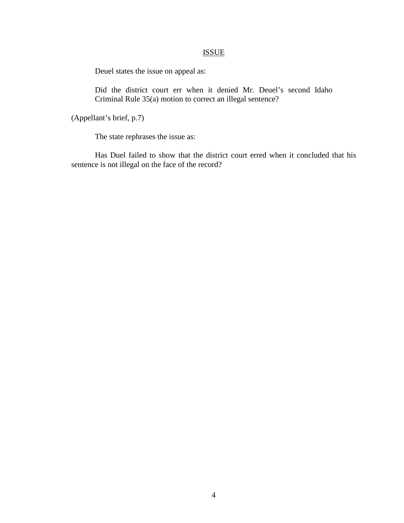## ISSUE

Deuel states the issue on appeal as:

Did the district court err when it denied Mr. Deuel's second Idaho Criminal Rule 35(a) motion to correct an illegal sentence?

(Appellant's brief, p.7)

The state rephrases the issue as:

Has Duel failed to show that the district court erred when it concluded that his sentence is not illegal on the face of the record?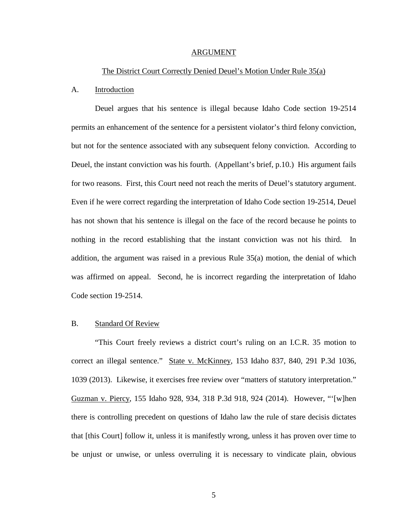#### ARGUMENT

#### The District Court Correctly Denied Deuel's Motion Under Rule 35(a)

#### A. Introduction

Deuel argues that his sentence is illegal because Idaho Code section 19-2514 permits an enhancement of the sentence for a persistent violator's third felony conviction, but not for the sentence associated with any subsequent felony conviction. According to Deuel, the instant conviction was his fourth. (Appellant's brief, p.10.) His argument fails for two reasons. First, this Court need not reach the merits of Deuel's statutory argument. Even if he were correct regarding the interpretation of Idaho Code section 19-2514, Deuel has not shown that his sentence is illegal on the face of the record because he points to nothing in the record establishing that the instant conviction was not his third. In addition, the argument was raised in a previous Rule 35(a) motion, the denial of which was affirmed on appeal. Second, he is incorrect regarding the interpretation of Idaho Code section 19-2514.

#### B. Standard Of Review

"This Court freely reviews a district court's ruling on an I.C.R. 35 motion to correct an illegal sentence." State v. McKinney, 153 Idaho 837, 840, 291 P.3d 1036, 1039 (2013). Likewise, it exercises free review over "matters of statutory interpretation." Guzman v. Piercy, 155 Idaho 928, 934, 318 P.3d 918, 924 (2014). However, "'[w]hen there is controlling precedent on questions of Idaho law the rule of stare decisis dictates that [this Court] follow it, unless it is manifestly wrong, unless it has proven over time to be unjust or unwise, or unless overruling it is necessary to vindicate plain, obvious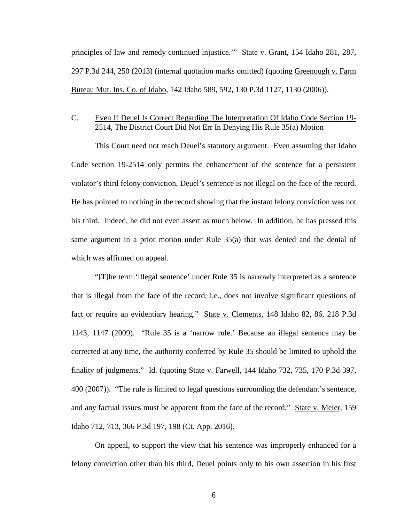principles of law and remedy continued injustice." State v. Grant, 154 Idaho 281, 287, 297 P.3d 244, 250 (2013) (internal quotation marks omitted) (quoting Greenough v. Farm Bureau Mut. Ins. Co. of Idaho, 142 Idaho 589, 592, 130 P.3d 1127, 1130 (2006)).

# C. Even If Deuel Is Correct Regarding The Interpretation Of Idaho Code Section 19- 2514, The District Court Did Not Err In Denying His Rule 35(a) Motion

This Court need not reach Deuel's statutory argument. Even assuming that Idaho Code section 19-2514 only permits the enhancement of the sentence for a persistent violator's third felony conviction, Deuel's sentence is not illegal on the face of the record. He has pointed to nothing in the record showing that the instant felony conviction was not his third. Indeed, he did not even assert as much below. In addition, he has pressed this same argument in a prior motion under Rule 35(a) that was denied and the denial of which was affirmed on appeal.

"[T]he term 'illegal sentence' under Rule 35 is narrowly interpreted as a sentence that is illegal from the face of the record, i.e., does not involve significant questions of fact or require an evidentiary hearing." State v. Clements, 148 Idaho 82, 86, 218 P.3d 1143, 1147 (2009). "Rule 35 is a 'narrow rule.' Because an illegal sentence may be corrected at any time, the authority conferred by Rule 35 should be limited to uphold the finality of judgments." Id. (quoting State v. Farwell, 144 Idaho 732, 735, 170 P.3d 397, 400 (2007)). "The rule is limited to legal questions surrounding the defendant's sentence, and any factual issues must be apparent from the face of the record." State v. Meier, 159 Idaho 712, 713, 366 P.3d 197, 198 (Ct. App. 2016).

On appeal, to support the view that his sentence was improperly enhanced for a felony conviction other than his third, Deuel points only to his own assertion in his first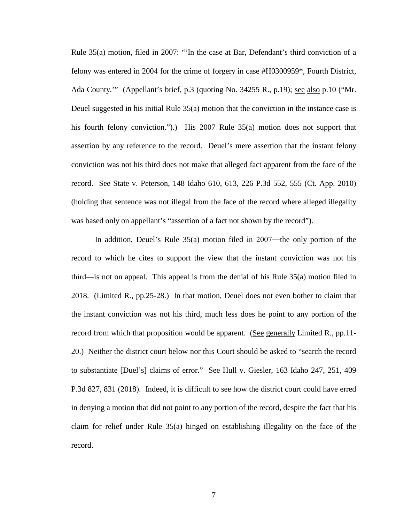Rule 35(a) motion, filed in 2007: "'In the case at Bar, Defendant's third conviction of a felony was entered in 2004 for the crime of forgery in case #H0300959\*, Fourth District, Ada County.'" (Appellant's brief, p.3 (quoting No. 34255 R., p.19); see also p.10 ("Mr. Deuel suggested in his initial Rule 35(a) motion that the conviction in the instance case is his fourth felony conviction.").) His 2007 Rule 35(a) motion does not support that assertion by any reference to the record. Deuel's mere assertion that the instant felony conviction was not his third does not make that alleged fact apparent from the face of the record. See State v. Peterson, 148 Idaho 610, 613, 226 P.3d 552, 555 (Ct. App. 2010) (holding that sentence was not illegal from the face of the record where alleged illegality was based only on appellant's "assertion of a fact not shown by the record").

In addition, Deuel's Rule 35(a) motion filed in 2007—the only portion of the record to which he cites to support the view that the instant conviction was not his third―is not on appeal. This appeal is from the denial of his Rule 35(a) motion filed in 2018. (Limited R., pp.25-28.) In that motion, Deuel does not even bother to claim that the instant conviction was not his third, much less does he point to any portion of the record from which that proposition would be apparent. (See generally Limited R., pp.11- 20.) Neither the district court below nor this Court should be asked to "search the record to substantiate [Duel's] claims of error." See Hull v. Giesler, 163 Idaho 247, 251, 409 P.3d 827, 831 (2018). Indeed, it is difficult to see how the district court could have erred in denying a motion that did not point to any portion of the record, despite the fact that his claim for relief under Rule 35(a) hinged on establishing illegality on the face of the record.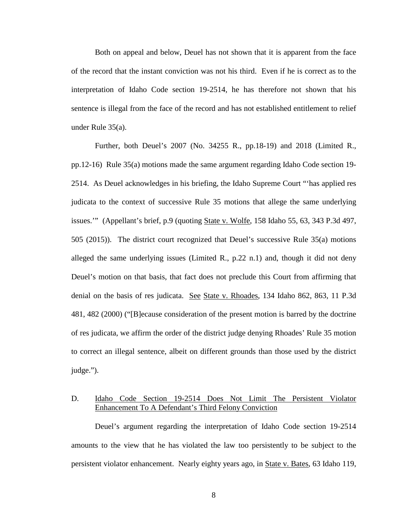Both on appeal and below, Deuel has not shown that it is apparent from the face of the record that the instant conviction was not his third. Even if he is correct as to the interpretation of Idaho Code section 19-2514, he has therefore not shown that his sentence is illegal from the face of the record and has not established entitlement to relief under Rule 35(a).

Further, both Deuel's 2007 (No. 34255 R., pp.18-19) and 2018 (Limited R., pp.12-16) Rule 35(a) motions made the same argument regarding Idaho Code section 19- 2514. As Deuel acknowledges in his briefing, the Idaho Supreme Court "'has applied res judicata to the context of successive Rule 35 motions that allege the same underlying issues." (Appellant's brief, p.9 (quoting State v. Wolfe, 158 Idaho 55, 63, 343 P.3d 497, 505 (2015)). The district court recognized that Deuel's successive Rule 35(a) motions alleged the same underlying issues (Limited R., p.22 n.1) and, though it did not deny Deuel's motion on that basis, that fact does not preclude this Court from affirming that denial on the basis of res judicata. See State v. Rhoades, 134 Idaho 862, 863, 11 P.3d 481, 482 (2000) ("[B]ecause consideration of the present motion is barred by the doctrine of res judicata, we affirm the order of the district judge denying Rhoades' Rule 35 motion to correct an illegal sentence, albeit on different grounds than those used by the district judge.").

## D. Idaho Code Section 19-2514 Does Not Limit The Persistent Violator Enhancement To A Defendant's Third Felony Conviction

Deuel's argument regarding the interpretation of Idaho Code section 19-2514 amounts to the view that he has violated the law too persistently to be subject to the persistent violator enhancement. Nearly eighty years ago, in State v. Bates, 63 Idaho 119,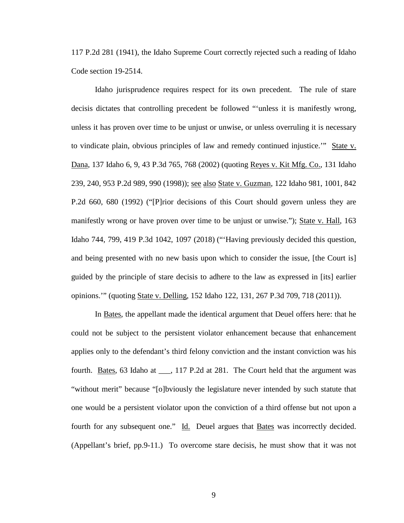117 P.2d 281 (1941), the Idaho Supreme Court correctly rejected such a reading of Idaho Code section 19-2514.

Idaho jurisprudence requires respect for its own precedent. The rule of stare decisis dictates that controlling precedent be followed "'unless it is manifestly wrong, unless it has proven over time to be unjust or unwise, or unless overruling it is necessary to vindicate plain, obvious principles of law and remedy continued injustice.'" State v. Dana, 137 Idaho 6, 9, 43 P.3d 765, 768 (2002) (quoting Reyes v. Kit Mfg. Co., 131 Idaho 239, 240, 953 P.2d 989, 990 (1998)); see also State v. Guzman, 122 Idaho 981, 1001, 842 P.2d 660, 680 (1992) ("[P]rior decisions of this Court should govern unless they are manifestly wrong or have proven over time to be unjust or unwise."); State v. Hall, 163 Idaho 744, 799, 419 P.3d 1042, 1097 (2018) ("'Having previously decided this question, and being presented with no new basis upon which to consider the issue, [the Court is] guided by the principle of stare decisis to adhere to the law as expressed in [its] earlier opinions.'" (quoting State v. Delling, 152 Idaho 122, 131, 267 P.3d 709, 718 (2011)).

In Bates, the appellant made the identical argument that Deuel offers here: that he could not be subject to the persistent violator enhancement because that enhancement applies only to the defendant's third felony conviction and the instant conviction was his fourth. Bates, 63 Idaho at \_\_\_, 117 P.2d at 281. The Court held that the argument was "without merit" because "[o]bviously the legislature never intended by such statute that one would be a persistent violator upon the conviction of a third offense but not upon a fourth for any subsequent one." Id. Deuel argues that Bates was incorrectly decided. (Appellant's brief, pp.9-11.) To overcome stare decisis, he must show that it was not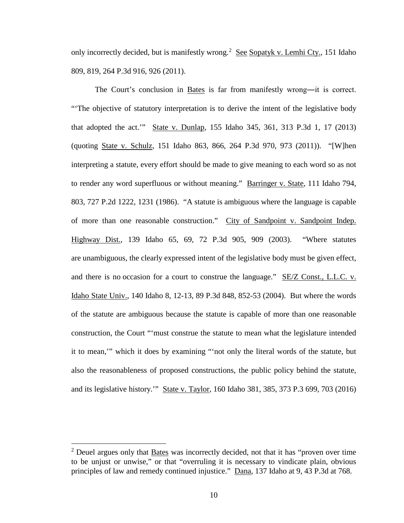only incorrectly decided, but is manifestly wrong.<sup>[2](#page--1-1)</sup> See Sopatyk v. Lemhi Cty., 151 Idaho 809, 819, 264 P.3d 916, 926 (2011).

The Court's conclusion in Bates is far from manifestly wrong―it is correct. "'The objective of statutory interpretation is to derive the intent of the legislative body that adopted the act.'" State v. Dunlap, 155 Idaho 345, 361, 313 P.3d 1, 17 (2013) (quoting State v. Schulz, 151 Idaho 863, 866, 264 P.3d 970, 973 (2011)). "[W]hen interpreting a statute, every effort should be made to give meaning to each word so as not to render any word superfluous or without meaning." Barringer v. State, 111 Idaho 794, 803, 727 P.2d 1222, 1231 (1986). "A statute is ambiguous where the language is capable of more than one reasonable construction." City of Sandpoint v. Sandpoint Indep. Highway Dist., 139 Idaho 65, 69, 72 P.3d 905, 909 (2003). "Where statutes are unambiguous, the clearly expressed intent of the legislative body must be given effect, and there is no occasion for a court to construe the language." SE/Z Const., L.L.C. v. Idaho State Univ., 140 Idaho 8, 12-13, 89 P.3d 848, 852-53 (2004). But where the words of the statute are ambiguous because the statute is capable of more than one reasonable construction, the Court "'must construe the statute to mean what the legislature intended it to mean,'" which it does by examining "'not only the literal words of the statute, but also the reasonableness of proposed constructions, the public policy behind the statute, and its legislative history.'" State v. Taylor, 160 Idaho 381, 385, 373 P.3 699, 703 (2016)

 $\overline{a}$ 

 $2$  Deuel argues only that Bates was incorrectly decided, not that it has "proven over time" to be unjust or unwise," or that "overruling it is necessary to vindicate plain, obvious principles of law and remedy continued injustice." Dana, 137 Idaho at 9, 43 P.3d at 768.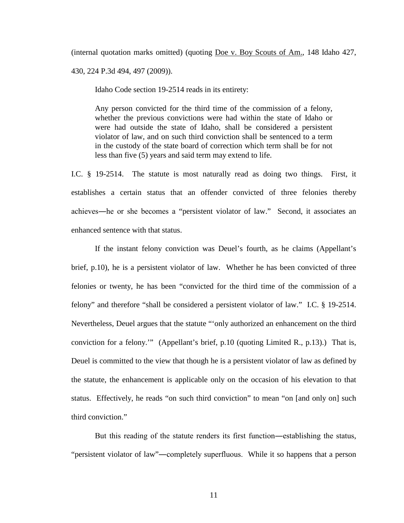(internal quotation marks omitted) (quoting Doe v. Boy Scouts of Am., 148 Idaho 427, 430, 224 P.3d 494, 497 (2009)).

Idaho Code section 19-2514 reads in its entirety:

Any person convicted for the third time of the commission of a felony, whether the previous convictions were had within the state of Idaho or were had outside the state of Idaho, shall be considered a persistent violator of law, and on such third conviction shall be sentenced to a term in the custody of the state board of correction which term shall be for not less than five (5) years and said term may extend to life.

I.C. § 19-2514. The statute is most naturally read as doing two things. First, it establishes a certain status that an offender convicted of three felonies thereby achieves―he or she becomes a "persistent violator of law." Second, it associates an enhanced sentence with that status.

If the instant felony conviction was Deuel's fourth, as he claims (Appellant's brief, p.10), he is a persistent violator of law. Whether he has been convicted of three felonies or twenty, he has been "convicted for the third time of the commission of a felony" and therefore "shall be considered a persistent violator of law." I.C. § 19-2514. Nevertheless, Deuel argues that the statute "'only authorized an enhancement on the third conviction for a felony.'" (Appellant's brief, p.10 (quoting Limited R., p.13).) That is, Deuel is committed to the view that though he is a persistent violator of law as defined by the statute, the enhancement is applicable only on the occasion of his elevation to that status. Effectively, he reads "on such third conviction" to mean "on [and only on] such third conviction."

But this reading of the statute renders its first function―establishing the status, "persistent violator of law"―completely superfluous. While it so happens that a person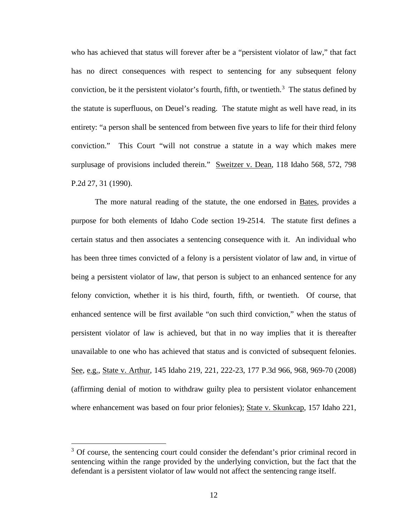who has achieved that status will forever after be a "persistent violator of law," that fact has no direct consequences with respect to sentencing for any subsequent felony conviction, be it the persistent violator's fourth, fifth, or twentieth.<sup>[3](#page--1-1)</sup> The status defined by the statute is superfluous, on Deuel's reading. The statute might as well have read, in its entirety: "a person shall be sentenced from between five years to life for their third felony conviction." This Court "will not construe a statute in a way which makes mere surplusage of provisions included therein." Sweitzer v. Dean, 118 Idaho 568, 572, 798 P.2d 27, 31 (1990).

The more natural reading of the statute, the one endorsed in Bates, provides a purpose for both elements of Idaho Code section 19-2514. The statute first defines a certain status and then associates a sentencing consequence with it. An individual who has been three times convicted of a felony is a persistent violator of law and, in virtue of being a persistent violator of law, that person is subject to an enhanced sentence for any felony conviction, whether it is his third, fourth, fifth, or twentieth. Of course, that enhanced sentence will be first available "on such third conviction," when the status of persistent violator of law is achieved, but that in no way implies that it is thereafter unavailable to one who has achieved that status and is convicted of subsequent felonies. See, e.g., State v. Arthur, 145 Idaho 219, 221, 222-23, 177 P.3d 966, 968, 969-70 (2008) (affirming denial of motion to withdraw guilty plea to persistent violator enhancement where enhancement was based on four prior felonies); State v. Skunkcap, 157 Idaho 221,

 $\overline{a}$ 

 $3$  Of course, the sentencing court could consider the defendant's prior criminal record in sentencing within the range provided by the underlying conviction, but the fact that the defendant is a persistent violator of law would not affect the sentencing range itself.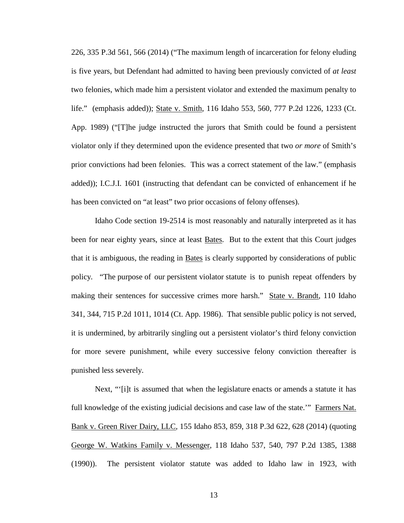226, 335 P.3d 561, 566 (2014) ("The maximum length of incarceration for felony eluding is five years, but Defendant had admitted to having been previously convicted of *at least* two felonies, which made him a persistent violator and extended the maximum penalty to life." (emphasis added)); State v. Smith, 116 Idaho 553, 560, 777 P.2d 1226, 1233 (Ct. App. 1989) ("[T]he judge instructed the jurors that Smith could be found a persistent violator only if they determined upon the evidence presented that two *or more* of Smith's prior convictions had been felonies. This was a correct statement of the law." (emphasis added)); I.C.J.I. 1601 (instructing that defendant can be convicted of enhancement if he has been convicted on "at least" two prior occasions of felony offenses).

Idaho Code section 19-2514 is most reasonably and naturally interpreted as it has been for near eighty years, since at least Bates. But to the extent that this Court judges that it is ambiguous, the reading in Bates is clearly supported by considerations of public policy. "The purpose of our persistent violator statute is to punish repeat offenders by making their sentences for successive crimes more harsh." State v. Brandt, 110 Idaho 341, 344, 715 P.2d 1011, 1014 (Ct. App. 1986). That sensible public policy is not served, it is undermined, by arbitrarily singling out a persistent violator's third felony conviction for more severe punishment, while every successive felony conviction thereafter is punished less severely.

Next, "'[i]t is assumed that when the legislature enacts or amends a statute it has full knowledge of the existing judicial decisions and case law of the state.'" Farmers Nat. Bank v. Green River Dairy, LLC, 155 Idaho 853, 859, 318 P.3d 622, 628 (2014) (quoting George W. Watkins Family v. Messenger, 118 Idaho 537, 540, 797 P.2d 1385, 1388 (1990)). The persistent violator statute was added to Idaho law in 1923, with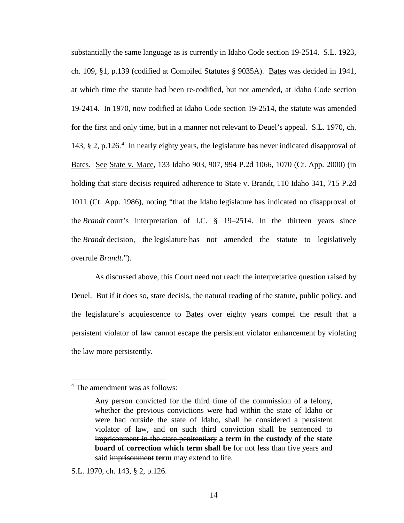substantially the same language as is currently in Idaho Code section 19-2514. S.L. 1923, ch. 109, §1, p.139 (codified at Compiled Statutes § 9035A). Bates was decided in 1941, at which time the statute had been re-codified, but not amended, at Idaho Code section 19-2414. In 1970, now codified at Idaho Code section 19-2514, the statute was amended for the first and only time, but in a manner not relevant to Deuel's appeal. S.L. 1970, ch. 143, § 2, p.126. [4](#page--1-2) In nearly eighty years, the legislature has never indicated disapproval of Bates. See State v. Mace, 133 Idaho 903, 907, 994 P.2d 1066, 1070 (Ct. App. 2000) (in holding that stare decisis required adherence to State v. Brandt*,* 110 Idaho 341, 715 P.2d 1011 (Ct. App. 1986), noting "that the Idaho legislature has indicated no disapproval of the *Brandt* court's interpretation of I.C. § 19–2514. In the thirteen years since the *Brandt* decision, the legislature has not amended the statute to legislatively overrule *Brandt*.").

As discussed above, this Court need not reach the interpretative question raised by Deuel. But if it does so, stare decisis, the natural reading of the statute, public policy, and the legislature's acquiescence to Bates over eighty years compel the result that a persistent violator of law cannot escape the persistent violator enhancement by violating the law more persistently.

 $\overline{a}$ 

S.L. 1970, ch. 143, § 2, p.126.

<sup>4</sup> The amendment was as follows:

Any person convicted for the third time of the commission of a felony, whether the previous convictions were had within the state of Idaho or were had outside the state of Idaho, shall be considered a persistent violator of law, and on such third conviction shall be sentenced to imprisonment in the state penitentiary **a term in the custody of the state board of correction which term shall be** for not less than five years and said imprisonment **term** may extend to life.